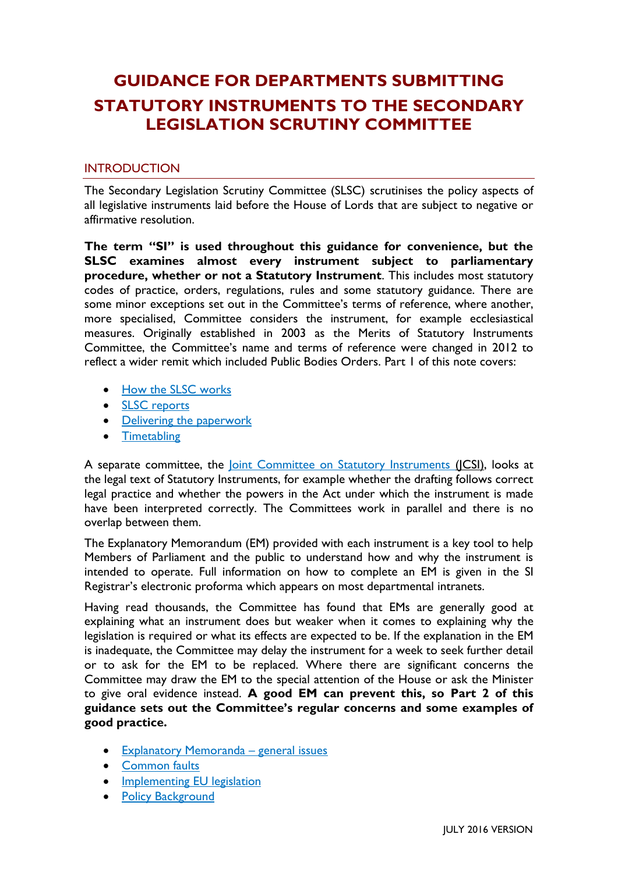# **GUIDANCE FOR DEPARTMENTS SUBMITTING STATUTORY INSTRUMENTS TO THE SECONDARY LEGISLATION SCRUTINY COMMITTEE**

## **INTRODUCTION**

The Secondary Legislation Scrutiny Committee (SLSC) scrutinises the policy aspects of all legislative instruments laid before the House of Lords that are subject to negative or affirmative resolution.

**The term "SI" is used throughout this guidance for convenience, but the SLSC examines almost every instrument subject to parliamentary procedure, whether or not a Statutory Instrument**. This includes most statutory codes of practice, orders, regulations, rules and some statutory guidance. There are some minor exceptions set out in the Committee's terms of reference, where another, more specialised, Committee considers the instrument, for example ecclesiastical measures. Originally established in 2003 as the Merits of Statutory Instruments Committee, the Committee's name and terms of reference were changed in 2012 to reflect a wider remit which included Public Bodies Orders. Part 1 of this note covers:

- [How the SLSC works](#page-1-0)
- **SLSC** reports
- [Delivering the paperwork](#page-2-1)
- [Timetabling](#page-3-0)

A separate committee, the *Joint Committee on Statutory Instruments* (JCSI), looks at the legal text of Statutory Instruments, for example whether the drafting follows correct legal practice and whether the powers in the Act under which the instrument is made have been interpreted correctly. The Committees work in parallel and there is no overlap between them.

The Explanatory Memorandum (EM) provided with each instrument is a key tool to help Members of Parliament and the public to understand how and why the instrument is intended to operate. Full information on how to complete an EM is given in the SI Registrar's electronic proforma which appears on most departmental intranets.

Having read thousands, the Committee has found that EMs are generally good at explaining what an instrument does but weaker when it comes to explaining why the legislation is required or what its effects are expected to be. If the explanation in the EM is inadequate, the Committee may delay the instrument for a week to seek further detail or to ask for the EM to be replaced. Where there are significant concerns the Committee may draw the EM to the special attention of the House or ask the Minister to give oral evidence instead. **A good EM can prevent this, so Part 2 of this guidance sets out the Committee's regular concerns and some examples of good practice.** 

- [Explanatory Memoranda](#page-4-0)  general issues
- [Common faults](#page-5-0)
- **•** [Implementing EU legislation](#page-7-0)
- [Policy Background](#page-7-1)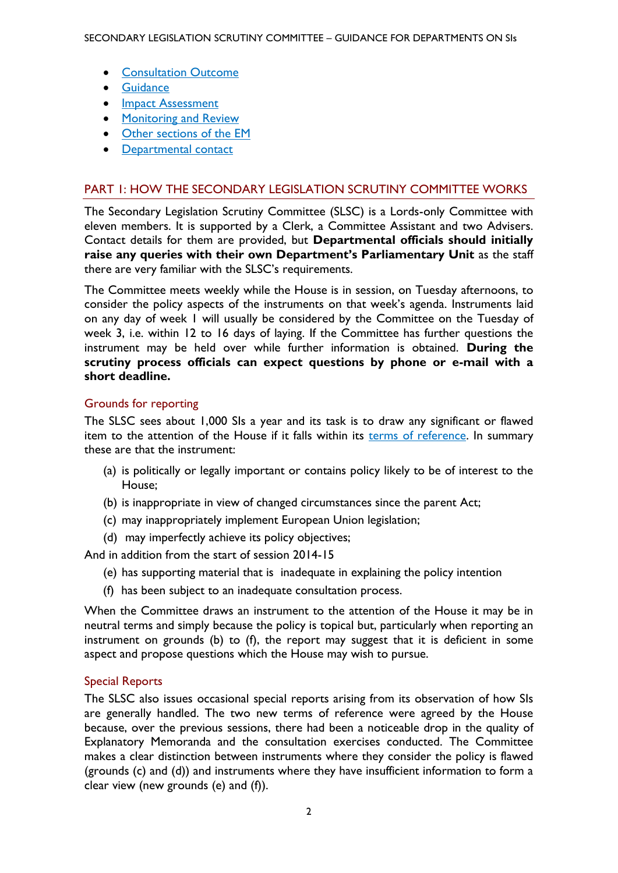- [Consultation Outcome](#page-9-0)
- **•** [Guidance](#page-10-0)
- [Impact Assessment](#page-10-1)
- [Monitoring and Review](#page-12-0)
- [Other sections of the EM](#page-13-0)
- [Departmental contact](#page-14-0)

## <span id="page-1-0"></span>PART 1: HOW THE SECONDARY LEGISLATION SCRUTINY COMMITTEE WORKS

The Secondary Legislation Scrutiny Committee (SLSC) is a Lords-only Committee with eleven members. It is supported by a Clerk, a Committee Assistant and two Advisers. Contact details for them are provided, but **Departmental officials should initially raise any queries with their own Department's Parliamentary Unit** as the staff there are very familiar with the SLSC's requirements.

The Committee meets weekly while the House is in session, on Tuesday afternoons, to consider the policy aspects of the instruments on that week's agenda. Instruments laid on any day of week 1 will usually be considered by the Committee on the Tuesday of week 3, i.e. within 12 to 16 days of laying. If the Committee has further questions the instrument may be held over while further information is obtained. **During the scrutiny process officials can expect questions by phone or e-mail with a short deadline.** 

### Grounds for reporting

The SLSC sees about 1,000 SIs a year and its task is to draw any significant or flawed item to the attention of the House if it falls within its [terms of reference.](http://www.parliament.uk/business/committees/committees-a-z/lords-select/secondary-legislation-scrutiny-committee/role/tofref/) In summary these are that the instrument:

- (a) is politically or legally important or contains policy likely to be of interest to the House;
- (b) is inappropriate in view of changed circumstances since the parent Act;
- (c) may inappropriately implement European Union legislation;
- (d) may imperfectly achieve its policy objectives;

And in addition from the start of session 2014-15

- (e) has supporting material that is inadequate in explaining the policy intention
- (f) has been subject to an inadequate consultation process.

When the Committee draws an instrument to the attention of the House it may be in neutral terms and simply because the policy is topical but, particularly when reporting an instrument on grounds (b) to (f), the report may suggest that it is deficient in some aspect and propose questions which the House may wish to pursue.

### Special Reports

The SLSC also issues occasional special reports arising from its observation of how SIs are generally handled. The two new terms of reference were agreed by the House because, over the previous sessions, there had been a noticeable drop in the quality of Explanatory Memoranda and the consultation exercises conducted. The Committee makes a clear distinction between instruments where they consider the policy is flawed (grounds (c) and (d)) and instruments where they have insufficient information to form a clear view (new grounds (e) and (f)).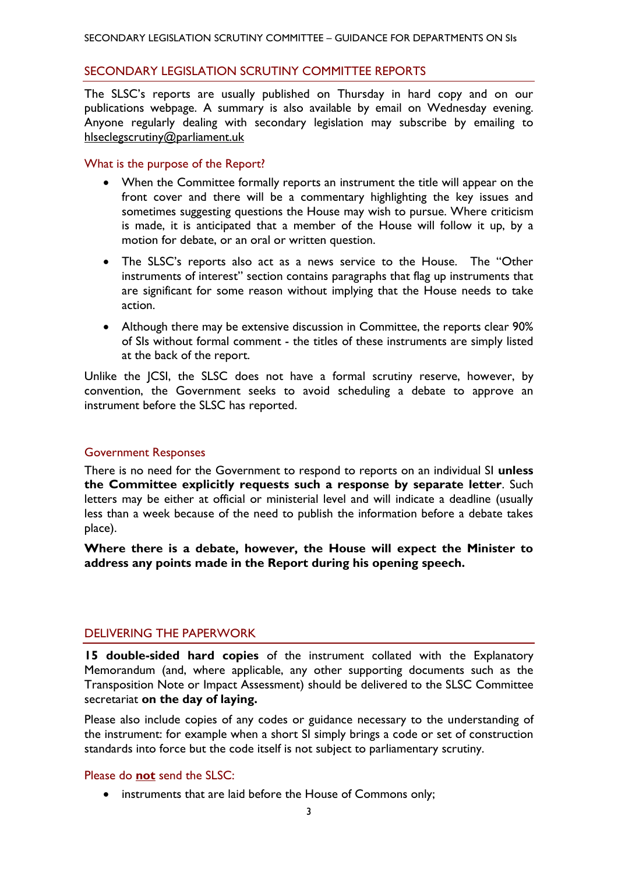#### <span id="page-2-0"></span>SECONDARY LEGISLATION SCRUTINY COMMITTEE REPORTS

The SLSC's reports are usually published on Thursday in hard copy and on our publications webpage. A summary is also available by email on Wednesday evening. Anyone regularly dealing with secondary legislation may subscribe by emailing to [hlseclegscrutiny@parliament.uk](mailto:seclegscrutiny@parliament.uk)

#### What is the purpose of the Report?

- When the Committee formally reports an instrument the title will appear on the front cover and there will be a commentary highlighting the key issues and sometimes suggesting questions the House may wish to pursue. Where criticism is made, it is anticipated that a member of the House will follow it up, by a motion for debate, or an oral or written question.
- The SLSC's reports also act as a news service to the House. The "Other instruments of interest" section contains paragraphs that flag up instruments that are significant for some reason without implying that the House needs to take action.
- Although there may be extensive discussion in Committee, the reports clear 90% of SIs without formal comment - the titles of these instruments are simply listed at the back of the report.

Unlike the JCSI, the SLSC does not have a formal scrutiny reserve, however, by convention, the Government seeks to avoid scheduling a debate to approve an instrument before the SLSC has reported.

### Government Responses

There is no need for the Government to respond to reports on an individual SI **unless the Committee explicitly requests such a response by separate letter**. Such letters may be either at official or ministerial level and will indicate a deadline (usually less than a week because of the need to publish the information before a debate takes place).

**Where there is a debate, however, the House will expect the Minister to address any points made in the Report during his opening speech.**

### <span id="page-2-1"></span>DELIVERING THE PAPERWORK

**15 double-sided hard copies** of the instrument collated with the Explanatory Memorandum (and, where applicable, any other supporting documents such as the Transposition Note or Impact Assessment) should be delivered to the SLSC Committee secretariat **on the day of laying.**

Please also include copies of any codes or guidance necessary to the understanding of the instrument: for example when a short SI simply brings a code or set of construction standards into force but the code itself is not subject to parliamentary scrutiny.

### Please do **not** send the SLSC:

• instruments that are laid before the House of Commons only;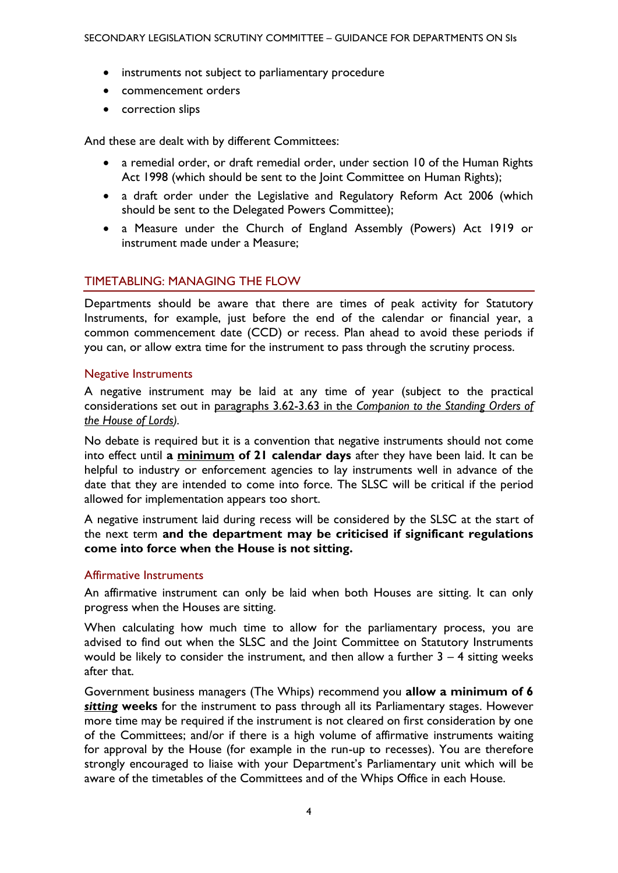- instruments not subject to parliamentary procedure
- commencement orders
- correction slips

And these are dealt with by different Committees:

- a remedial order, or draft remedial order, under section 10 of the Human Rights Act 1998 (which should be sent to the Joint Committee on Human Rights);
- a draft order under the Legislative and Regulatory Reform Act 2006 (which should be sent to the Delegated Powers Committee);
- a Measure under the Church of England Assembly (Powers) Act 1919 or instrument made under a Measure;

### <span id="page-3-0"></span>TIMETABLING: MANAGING THE FLOW

Departments should be aware that there are times of peak activity for Statutory Instruments, for example, just before the end of the calendar or financial year, a common commencement date (CCD) or recess. Plan ahead to avoid these periods if you can, or allow extra time for the instrument to pass through the scrutiny process.

#### Negative Instruments

A negative instrument may be laid at any time of year (subject to the practical considerations set out in paragraphs 3.62-3.63 in the *[Companion to the Standing Orders of](http://www.publications.parliament.uk/pa/ld/ldcomp/compso2013/2013co05.htm#a44)  [the House of Lords\)](http://www.publications.parliament.uk/pa/ld/ldcomp/compso2013/2013co05.htm#a44).*

No debate is required but it is a convention that negative instruments should not come into effect until **a minimum of 21 calendar days** after they have been laid. It can be helpful to industry or enforcement agencies to lay instruments well in advance of the date that they are intended to come into force. The SLSC will be critical if the period allowed for implementation appears too short.

A negative instrument laid during recess will be considered by the SLSC at the start of the next term **and the department may be criticised if significant regulations come into force when the House is not sitting.**

#### Affirmative Instruments

An affirmative instrument can only be laid when both Houses are sitting. It can only progress when the Houses are sitting.

When calculating how much time to allow for the parliamentary process, you are advised to find out when the SLSC and the Joint Committee on Statutory Instruments would be likely to consider the instrument, and then allow a further  $3 - 4$  sitting weeks after that.

Government business managers (The Whips) recommend you **allow a minimum of 6**  *sitting* **weeks** for the instrument to pass through all its Parliamentary stages. However more time may be required if the instrument is not cleared on first consideration by one of the Committees; and/or if there is a high volume of affirmative instruments waiting for approval by the House (for example in the run-up to recesses). You are therefore strongly encouraged to liaise with your Department's Parliamentary unit which will be aware of the timetables of the Committees and of the Whips Office in each House.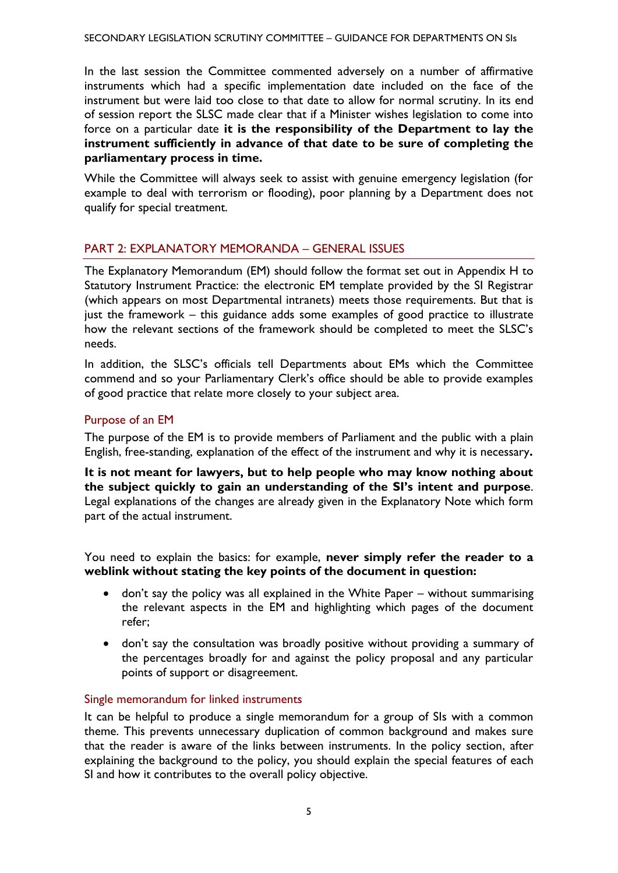In the last session the Committee commented adversely on a number of affirmative instruments which had a specific implementation date included on the face of the instrument but were laid too close to that date to allow for normal scrutiny. In its end of session report the SLSC made clear that if a Minister wishes legislation to come into force on a particular date **it is the responsibility of the Department to lay the instrument sufficiently in advance of that date to be sure of completing the parliamentary process in time.**

While the Committee will always seek to assist with genuine emergency legislation (for example to deal with terrorism or flooding), poor planning by a Department does not qualify for special treatment.

# <span id="page-4-0"></span>PART 2: EXPLANATORY MEMORANDA – GENERAL ISSUES

The Explanatory Memorandum (EM) should follow the format set out in Appendix H to Statutory Instrument Practice: the electronic EM template provided by the SI Registrar (which appears on most Departmental intranets) meets those requirements. But that is just the framework – this guidance adds some examples of good practice to illustrate how the relevant sections of the framework should be completed to meet the SLSC's needs.

In addition, the SLSC's officials tell Departments about EMs which the Committee commend and so your Parliamentary Clerk's office should be able to provide examples of good practice that relate more closely to your subject area.

# Purpose of an EM

The purpose of the EM is to provide members of Parliament and the public with a plain English, free-standing, explanation of the effect of the instrument and why it is necessary**.**

**It is not meant for lawyers, but to help people who may know nothing about the subject quickly to gain an understanding of the SI's intent and purpose**. Legal explanations of the changes are already given in the Explanatory Note which form part of the actual instrument.

You need to explain the basics: for example, **never simply refer the reader to a weblink without stating the key points of the document in question:**

- don't say the policy was all explained in the White Paper without summarising the relevant aspects in the EM and highlighting which pages of the document refer;
- don't say the consultation was broadly positive without providing a summary of the percentages broadly for and against the policy proposal and any particular points of support or disagreement.

### Single memorandum for linked instruments

It can be helpful to produce a single memorandum for a group of SIs with a common theme. This prevents unnecessary duplication of common background and makes sure that the reader is aware of the links between instruments. In the policy section, after explaining the background to the policy, you should explain the special features of each SI and how it contributes to the overall policy objective.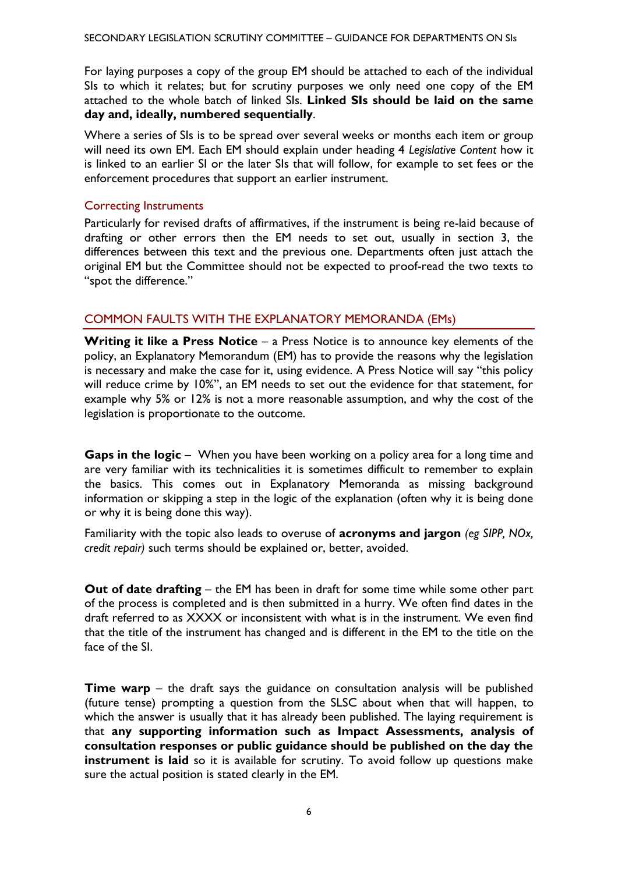For laying purposes a copy of the group EM should be attached to each of the individual SIs to which it relates; but for scrutiny purposes we only need one copy of the EM attached to the whole batch of linked SIs. **Linked SIs should be laid on the same day and, ideally, numbered sequentially**.

Where a series of SIs is to be spread over several weeks or months each item or group will need its own EM. Each EM should explain under heading 4 *Legislative Content* how it is linked to an earlier SI or the later SIs that will follow, for example to set fees or the enforcement procedures that support an earlier instrument.

## Correcting Instruments

Particularly for revised drafts of affirmatives, if the instrument is being re-laid because of drafting or other errors then the EM needs to set out, usually in section 3, the differences between this text and the previous one. Departments often just attach the original EM but the Committee should not be expected to proof-read the two texts to "spot the difference."

# <span id="page-5-0"></span>COMMON FAULTS WITH THE EXPLANATORY MEMORANDA (EMs)

**Writing it like a Press Notice** – a Press Notice is to announce key elements of the policy, an Explanatory Memorandum (EM) has to provide the reasons why the legislation is necessary and make the case for it, using evidence. A Press Notice will say "this policy will reduce crime by 10%", an EM needs to set out the evidence for that statement, for example why 5% or 12% is not a more reasonable assumption, and why the cost of the legislation is proportionate to the outcome.

**Gaps in the logic** – When you have been working on a policy area for a long time and are very familiar with its technicalities it is sometimes difficult to remember to explain the basics. This comes out in Explanatory Memoranda as missing background information or skipping a step in the logic of the explanation (often why it is being done or why it is being done this way).

Familiarity with the topic also leads to overuse of **acronyms and jargon** *(eg SIPP, NOx, credit repair)* such terms should be explained or, better, avoided.

**Out of date drafting** – the EM has been in draft for some time while some other part of the process is completed and is then submitted in a hurry. We often find dates in the draft referred to as XXXX or inconsistent with what is in the instrument. We even find that the title of the instrument has changed and is different in the EM to the title on the face of the SI.

**Time warp** – the draft says the guidance on consultation analysis will be published (future tense) prompting a question from the SLSC about when that will happen, to which the answer is usually that it has already been published. The laying requirement is that **any supporting information such as Impact Assessments, analysis of consultation responses or public guidance should be published on the day the instrument is laid** so it is available for scrutiny. To avoid follow up questions make sure the actual position is stated clearly in the EM.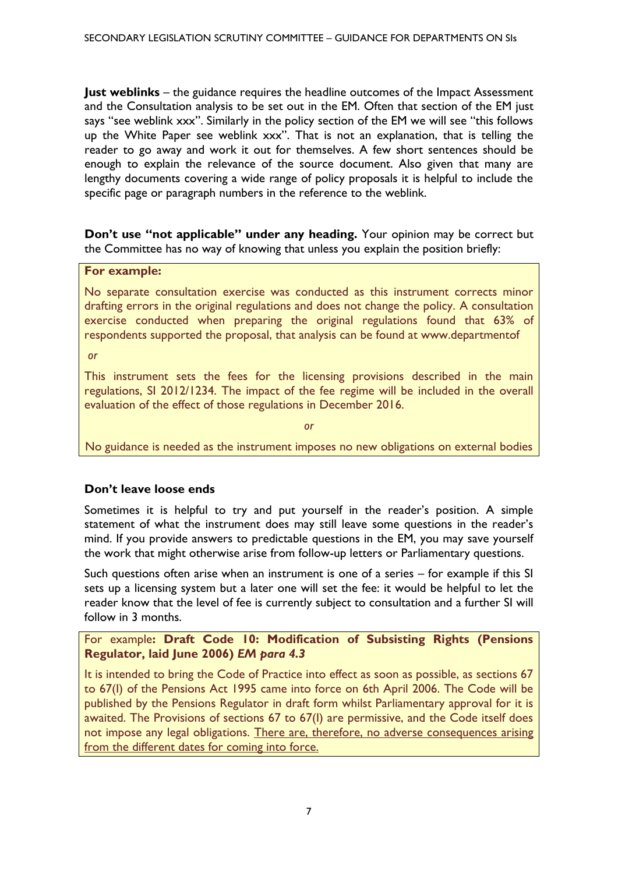**Just weblinks** – the guidance requires the headline outcomes of the Impact Assessment and the Consultation analysis to be set out in the EM. Often that section of the EM just says "see weblink xxx". Similarly in the policy section of the EM we will see "this follows up the White Paper see weblink xxx". That is not an explanation, that is telling the reader to go away and work it out for themselves. A few short sentences should be enough to explain the relevance of the source document. Also given that many are lengthy documents covering a wide range of policy proposals it is helpful to include the specific page or paragraph numbers in the reference to the weblink.

**Don't use "not applicable" under any heading.** Your opinion may be correct but the Committee has no way of knowing that unless you explain the position briefly:

#### **For example:**

No separate consultation exercise was conducted as this instrument corrects minor drafting errors in the original regulations and does not change the policy. A consultation exercise conducted when preparing the original regulations found that 63% of respondents supported the proposal, that analysis can be found at [www.departmentof](http://www.departmentof/)

*or*

This instrument sets the fees for the licensing provisions described in the main regulations, SI 2012/1234. The impact of the fee regime will be included in the overall evaluation of the effect of those regulations in December 2016.

*or*

No guidance is needed as the instrument imposes no new obligations on external bodies

### **Don't leave loose ends**

Sometimes it is helpful to try and put yourself in the reader's position. A simple statement of what the instrument does may still leave some questions in the reader's mind. If you provide answers to predictable questions in the EM, you may save yourself the work that might otherwise arise from follow-up letters or Parliamentary questions.

Such questions often arise when an instrument is one of a series – for example if this SI sets up a licensing system but a later one will set the fee: it would be helpful to let the reader know that the level of fee is currently subject to consultation and a further SI will follow in 3 months.

## For example**: Draft Code 10: Modification of Subsisting Rights (Pensions Regulator, laid June 2006)** *EM para 4.3*

It is intended to bring the Code of Practice into effect as soon as possible, as sections 67 to 67(I) of the Pensions Act 1995 came into force on 6th April 2006. The Code will be published by the Pensions Regulator in draft form whilst Parliamentary approval for it is awaited. The Provisions of sections 67 to 67(I) are permissive, and the Code itself does not impose any legal obligations. There are, therefore, no adverse consequences arising from the different dates for coming into force.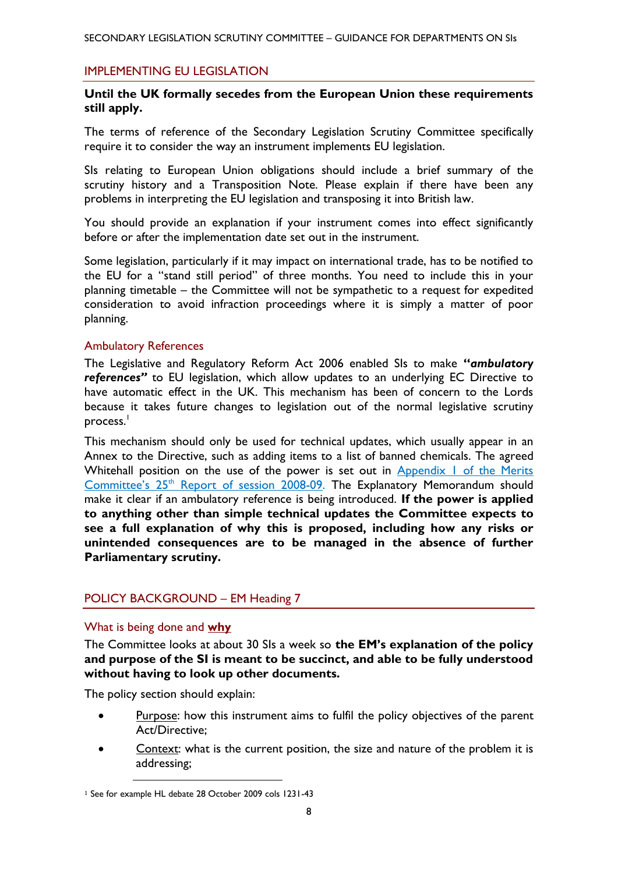#### <span id="page-7-0"></span>IMPLEMENTING EU LEGISLATION

## **Until the UK formally secedes from the European Union these requirements still apply.**

The terms of reference of the Secondary Legislation Scrutiny Committee specifically require it to consider the way an instrument implements EU legislation.

SIs relating to European Union obligations should include a brief summary of the scrutiny history and a Transposition Note. Please explain if there have been any problems in interpreting the EU legislation and transposing it into British law.

You should provide an explanation if your instrument comes into effect significantly before or after the implementation date set out in the instrument.

Some legislation, particularly if it may impact on international trade, has to be notified to the EU for a "stand still period" of three months. You need to include this in your planning timetable – the Committee will not be sympathetic to a request for expedited consideration to avoid infraction proceedings where it is simply a matter of poor planning.

#### Ambulatory References

The Legislative and Regulatory Reform Act 2006 enabled SIs to make **"***ambulatory references"* to EU legislation, which allow updates to an underlying EC Directive to have automatic effect in the UK. This mechanism has been of concern to the Lords because it takes future changes to legislation out of the normal legislative scrutiny process.<sup>1</sup>

This mechanism should only be used for technical updates, which usually appear in an Annex to the Directive, such as adding items to a list of banned chemicals. The agreed Whitehall position on the use of the power is set out in Appendix 1 of the Merits Committee's 25<sup>th</sup> [Report of session 2008-09.](http://www.publications.parliament.uk/pa/ld200809/ldselect/ldmerit/151/15106.htm) The Explanatory Memorandum should make it clear if an ambulatory reference is being introduced. **If the power is applied to anything other than simple technical updates the Committee expects to see a full explanation of why this is proposed, including how any risks or unintended consequences are to be managed in the absence of further Parliamentary scrutiny.** 

### <span id="page-7-1"></span>POLICY BACKGROUND – EM Heading 7

#### What is being done and **why**

The Committee looks at about 30 SIs a week so **the EM's explanation of the policy and purpose of the SI is meant to be succinct, and able to be fully understood without having to look up other documents.** 

The policy section should explain:

1

- Purpose: how this instrument aims to fulfil the policy objectives of the parent Act/Directive;
- Context: what is the current position, the size and nature of the problem it is addressing;

<sup>1</sup> See for example HL debate 28 October 2009 cols 1231-43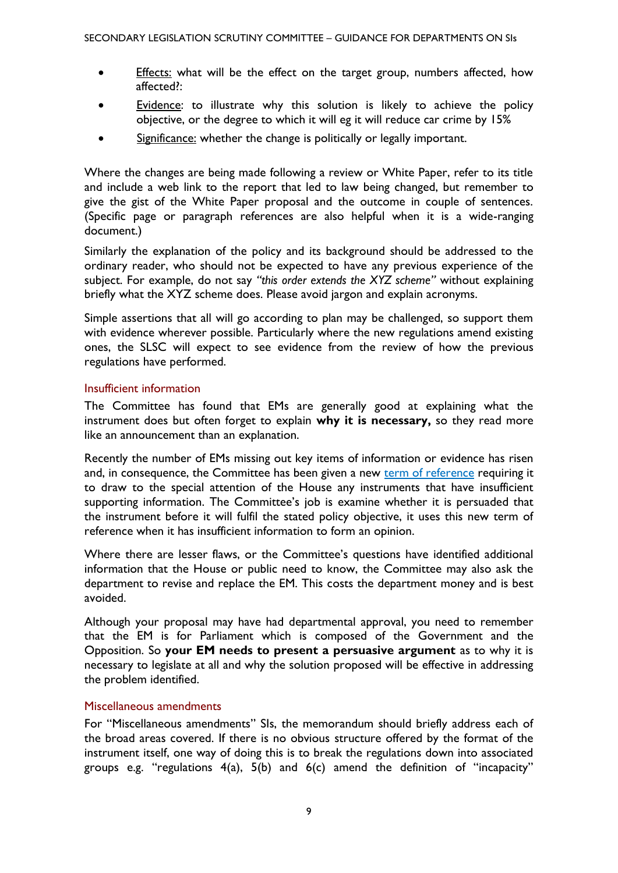- Effects: what will be the effect on the target group, numbers affected, how affected?:
- Evidence: to illustrate why this solution is likely to achieve the policy objective, or the degree to which it will eg it will reduce car crime by 15%
- Significance: whether the change is politically or legally important.

Where the changes are being made following a review or White Paper, refer to its title and include a web link to the report that led to law being changed, but remember to give the gist of the White Paper proposal and the outcome in couple of sentences. (Specific page or paragraph references are also helpful when it is a wide-ranging document.)

Similarly the explanation of the policy and its background should be addressed to the ordinary reader, who should not be expected to have any previous experience of the subject. For example, do not say *"this order extends the XYZ scheme"* without explaining briefly what the XYZ scheme does. Please avoid jargon and explain acronyms.

Simple assertions that all will go according to plan may be challenged, so support them with evidence wherever possible. Particularly where the new regulations amend existing ones, the SLSC will expect to see evidence from the review of how the previous regulations have performed.

### Insufficient information

The Committee has found that EMs are generally good at explaining what the instrument does but often forget to explain **why it is necessary,** so they read more like an announcement than an explanation.

Recently the number of EMs missing out key items of information or evidence has risen and, in consequence, the Committee has been given a new [term of reference](http://www.parliament.uk/business/committees/committees-a-z/lords-select/secondary-legislation-scrutiny-committee/role/tofref/) requiring it to draw to the special attention of the House any instruments that have insufficient supporting information. The Committee's job is examine whether it is persuaded that the instrument before it will fulfil the stated policy objective, it uses this new term of reference when it has insufficient information to form an opinion.

Where there are lesser flaws, or the Committee's questions have identified additional information that the House or public need to know, the Committee may also ask the department to revise and replace the EM. This costs the department money and is best avoided.

Although your proposal may have had departmental approval, you need to remember that the EM is for Parliament which is composed of the Government and the Opposition. So **your EM needs to present a persuasive argument** as to why it is necessary to legislate at all and why the solution proposed will be effective in addressing the problem identified.

### Miscellaneous amendments

For "Miscellaneous amendments" SIs, the memorandum should briefly address each of the broad areas covered. If there is no obvious structure offered by the format of the instrument itself, one way of doing this is to break the regulations down into associated groups e.g. "regulations  $4(a)$ ,  $5(b)$  and  $6(c)$  amend the definition of "incapacity"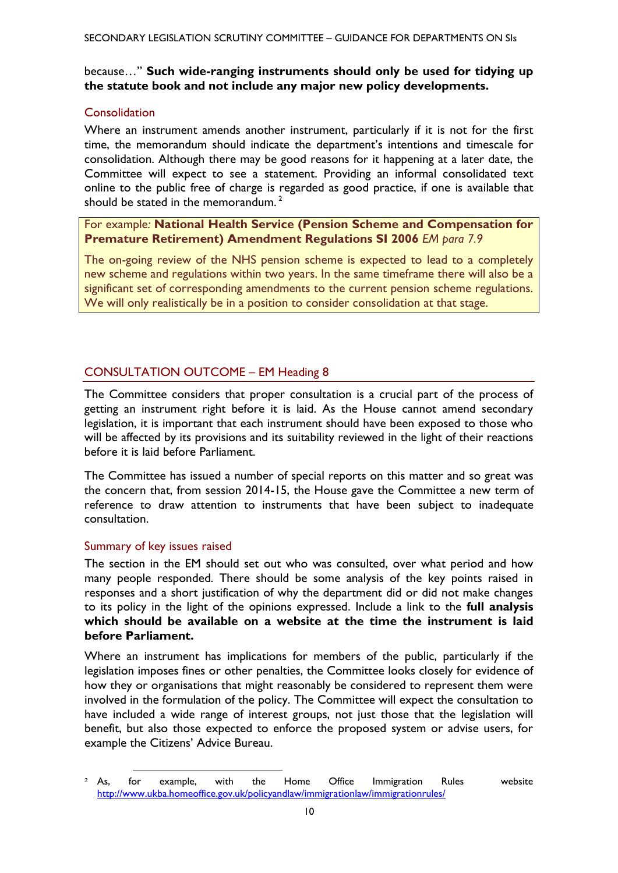## because…" **Such wide-ranging instruments should only be used for tidying up the statute book and not include any major new policy developments.**

# **Consolidation**

Where an instrument amends another instrument, particularly if it is not for the first time, the memorandum should indicate the department's intentions and timescale for consolidation. Although there may be good reasons for it happening at a later date, the Committee will expect to see a statement. Providing an informal consolidated text online to the public free of charge is regarded as good practice, if one is available that should be stated in the memorandum.<sup>2</sup>

# For example*:* **National Health Service (Pension Scheme and Compensation for Premature Retirement) Amendment Regulations SI 2006** *EM para 7.9*

The on-going review of the NHS pension scheme is expected to lead to a completely new scheme and regulations within two years. In the same timeframe there will also be a significant set of corresponding amendments to the current pension scheme regulations. We will only realistically be in a position to consider consolidation at that stage.

# <span id="page-9-0"></span>CONSULTATION OUTCOME – EM Heading 8

The Committee considers that proper consultation is a crucial part of the process of getting an instrument right before it is laid. As the House cannot amend secondary legislation, it is important that each instrument should have been exposed to those who will be affected by its provisions and its suitability reviewed in the light of their reactions before it is laid before Parliament.

The Committee has issued a number of special reports on this matter and so great was the concern that, from session 2014-15, the House gave the Committee a new term of reference to draw attention to instruments that have been subject to inadequate consultation.

### Summary of key issues raised

 $\overline{a}$ 

The section in the EM should set out who was consulted, over what period and how many people responded. There should be some analysis of the key points raised in responses and a short justification of why the department did or did not make changes to its policy in the light of the opinions expressed. Include a link to the **full analysis which should be available on a website at the time the instrument is laid before Parliament.** 

Where an instrument has implications for members of the public, particularly if the legislation imposes fines or other penalties, the Committee looks closely for evidence of how they or organisations that might reasonably be considered to represent them were involved in the formulation of the policy. The Committee will expect the consultation to have included a wide range of interest groups, not just those that the legislation will benefit, but also those expected to enforce the proposed system or advise users, for example the Citizens' Advice Bureau.

<sup>2</sup> As, for example, with the Home Office Immigration Rules website <http://www.ukba.homeoffice.gov.uk/policyandlaw/immigrationlaw/immigrationrules/>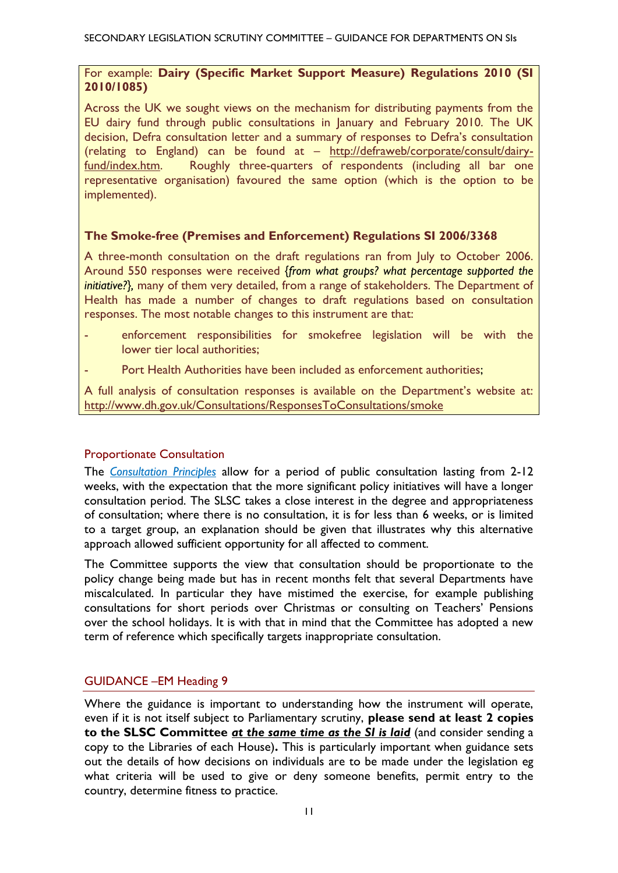## For example: **Dairy (Specific Market Support Measure) Regulations 2010 (SI 2010/1085)**

Across the UK we sought views on the mechanism for distributing payments from the EU dairy fund through public consultations in January and February 2010. The UK decision, Defra consultation letter and a summary of responses to Defra's consultation (relating to England) can be found at – [http://defraweb/corporate/consult/dairy](http://defraweb/corporate/consult/dairy-fund/index.htm)[fund/index.htm.](http://defraweb/corporate/consult/dairy-fund/index.htm) Roughly three-quarters of respondents (including all bar one representative organisation) favoured the same option (which is the option to be implemented).

## **The Smoke-free (Premises and Enforcement) Regulations SI 2006/3368**

A three-month consultation on the draft regulations ran from July to October 2006. Around 550 responses were received *{from what groups? what percentage supported the initiative?},* many of them very detailed, from a range of stakeholders. The Department of Health has made a number of changes to draft regulations based on consultation responses. The most notable changes to this instrument are that:

- enforcement responsibilities for smokefree legislation will be with the lower tier local authorities;
- Port Health Authorities have been included as enforcement authorities;

A full analysis of consultation responses is available on the Department's website at: http://www.dh.gov.uk/Consultations/ResponsesToConsultations/smoke

### Proportionate Consultation

The *[Consultation Principles](https://www.gov.uk/government/uploads/system/uploads/attachment_data/file/492132/20160111_Consultation_principles_final.pdf)* allow for a period of public consultation lasting from 2-12 weeks, with the expectation that the more significant policy initiatives will have a longer consultation period. The SLSC takes a close interest in the degree and appropriateness of consultation; where there is no consultation, it is for less than 6 weeks, or is limited to a target group, an explanation should be given that illustrates why this alternative approach allowed sufficient opportunity for all affected to comment.

The Committee supports the view that consultation should be proportionate to the policy change being made but has in recent months felt that several Departments have miscalculated. In particular they have mistimed the exercise, for example publishing consultations for short periods over Christmas or consulting on Teachers' Pensions over the school holidays. It is with that in mind that the Committee has adopted a new term of reference which specifically targets inappropriate consultation.

### <span id="page-10-0"></span>GUIDANCE –EM Heading 9

<span id="page-10-1"></span>Where the guidance is important to understanding how the instrument will operate, even if it is not itself subject to Parliamentary scrutiny, **please send at least 2 copies to the SLSC Committee** *at the same time as the SI is laid* (and consider sending a copy to the Libraries of each House)**.** This is particularly important when guidance sets out the details of how decisions on individuals are to be made under the legislation eg what criteria will be used to give or deny someone benefits, permit entry to the country, determine fitness to practice.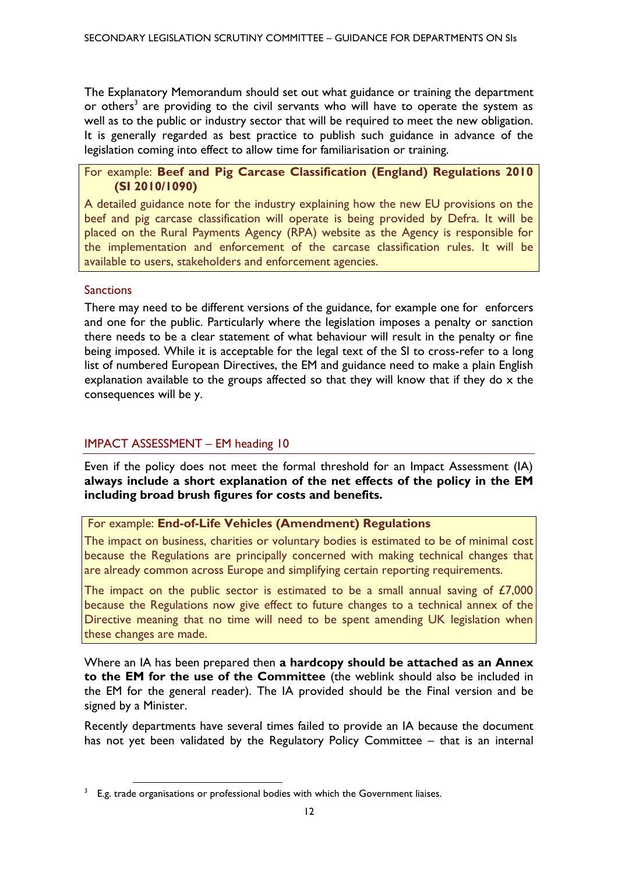The Explanatory Memorandum should set out what guidance or training the department or others<sup>3</sup> are providing to the civil servants who will have to operate the system as well as to the public or industry sector that will be required to meet the new obligation. It is generally regarded as best practice to publish such guidance in advance of the legislation coming into effect to allow time for familiarisation or training.

## For example: **Beef and Pig Carcase Classification (England) Regulations 2010 (SI 2010/1090)**

A detailed guidance note for the industry explaining how the new EU provisions on the beef and pig carcase classification will operate is being provided by Defra. It will be placed on the Rural Payments Agency (RPA) website as the Agency is responsible for the implementation and enforcement of the carcase classification rules. It will be available to users, stakeholders and enforcement agencies.

# **Sanctions**

There may need to be different versions of the guidance, for example one for enforcers and one for the public. Particularly where the legislation imposes a penalty or sanction there needs to be a clear statement of what behaviour will result in the penalty or fine being imposed. While it is acceptable for the legal text of the SI to cross-refer to a long list of numbered European Directives, the EM and guidance need to make a plain English explanation available to the groups affected so that they will know that if they do x the consequences will be y.

# IMPACT ASSESSMENT – EM heading 10

1

Even if the policy does not meet the formal threshold for an Impact Assessment (IA) **always include a short explanation of the net effects of the policy in the EM including broad brush figures for costs and benefits.** 

# For example: **End-of-Life Vehicles (Amendment) Regulations**

The impact on business, charities or voluntary bodies is estimated to be of minimal cost because the Regulations are principally concerned with making technical changes that are already common across Europe and simplifying certain reporting requirements.

The impact on the public sector is estimated to be a small annual saving of  $E7,000$ because the Regulations now give effect to future changes to a technical annex of the Directive meaning that no time will need to be spent amending UK legislation when these changes are made.

Where an IA has been prepared then **a hardcopy should be attached as an Annex to the EM for the use of the Committee** (the weblink should also be included in the EM for the general reader). The IA provided should be the Final version and be signed by a Minister.

Recently departments have several times failed to provide an IA because the document has not yet been validated by the Regulatory Policy Committee – that is an internal

 $3$  E.g. trade organisations or professional bodies with which the Government liaises.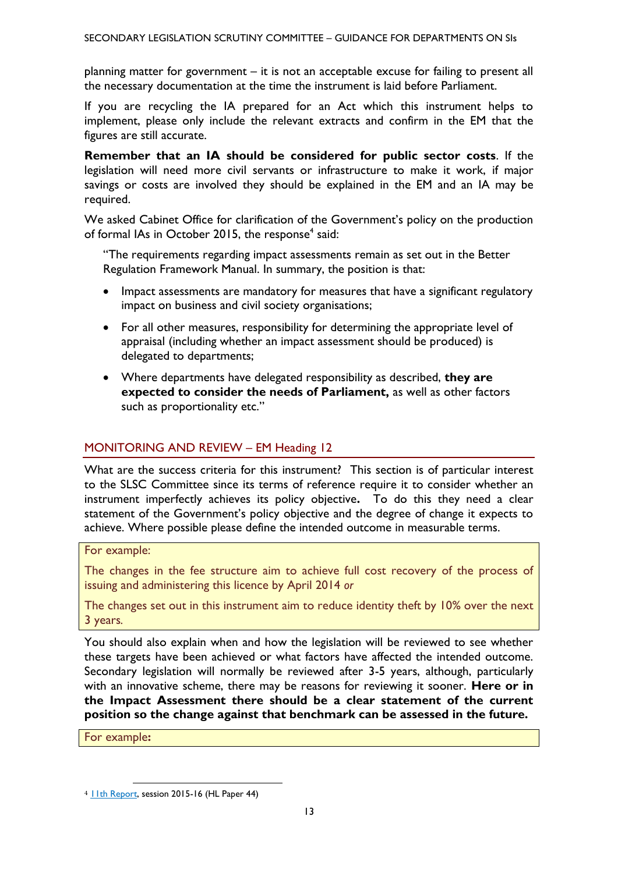planning matter for government – it is not an acceptable excuse for failing to present all the necessary documentation at the time the instrument is laid before Parliament.

If you are recycling the IA prepared for an Act which this instrument helps to implement, please only include the relevant extracts and confirm in the EM that the figures are still accurate.

**Remember that an IA should be considered for public sector costs**. If the legislation will need more civil servants or infrastructure to make it work, if major savings or costs are involved they should be explained in the EM and an IA may be required.

We asked Cabinet Office for clarification of the Government's policy on the production of formal IAs in October 2015, the response<sup>4</sup> said:

"The requirements regarding impact assessments remain as set out in the Better Regulation Framework Manual. In summary, the position is that:

- Impact assessments are mandatory for measures that have a significant regulatory impact on business and civil society organisations;
- For all other measures, responsibility for determining the appropriate level of appraisal (including whether an impact assessment should be produced) is delegated to departments;
- Where departments have delegated responsibility as described, **they are expected to consider the needs of Parliament,** as well as other factors such as proportionality etc."

# <span id="page-12-0"></span>MONITORING AND REVIEW – EM Heading 12

What are the success criteria for this instrument? This section is of particular interest to the SLSC Committee since its terms of reference require it to consider whether an instrument imperfectly achieves its policy objective**.** To do this they need a clear statement of the Government's policy objective and the degree of change it expects to achieve. Where possible please define the intended outcome in measurable terms.

### For example:

The changes in the fee structure aim to achieve full cost recovery of the process of issuing and administering this licence by April 2014 *or* 

The changes set out in this instrument aim to reduce identity theft by 10% over the next 3 years*.* 

You should also explain when and how the legislation will be reviewed to see whether these targets have been achieved or what factors have affected the intended outcome. Secondary legislation will normally be reviewed after 3-5 years, although, particularly with an innovative scheme, there may be reasons for reviewing it sooner. **Here or in the Impact Assessment there should be a clear statement of the current position so the change against that benchmark can be assessed in the future.**

For example**:** 

1

<sup>4</sup> [11th Report,](http://www.publications.parliament.uk/pa/ld201516/ldselect/ldsecleg/44/4402.htm) session 2015-16 (HL Paper 44)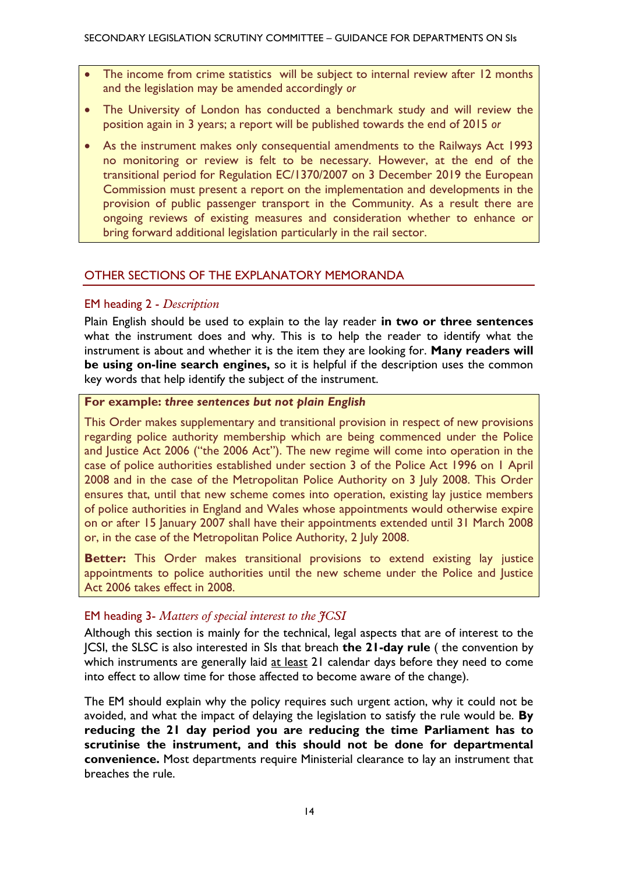- The income from crime statistics will be subject to internal review after 12 months and the legislation may be amended accordingly *or*
- The University of London has conducted a benchmark study and will review the position again in 3 years; a report will be published towards the end of 2015 *or*
- As the instrument makes only consequential amendments to the Railways Act 1993 no monitoring or review is felt to be necessary. However, at the end of the transitional period for Regulation EC/1370/2007 on 3 December 2019 the European Commission must present a report on the implementation and developments in the provision of public passenger transport in the Community. As a result there are ongoing reviews of existing measures and consideration whether to enhance or bring forward additional legislation particularly in the rail sector.

## <span id="page-13-0"></span>OTHER SECTIONS OF THE EXPLANATORY MEMORANDA

### EM heading 2 - *Description*

Plain English should be used to explain to the lay reader **in two or three sentences** what the instrument does and why. This is to help the reader to identify what the instrument is about and whether it is the item they are looking for. **Many readers will be using on-line search engines,** so it is helpful if the description uses the common key words that help identify the subject of the instrument.

#### **For example:** *three sentences but not plain English*

This Order makes supplementary and transitional provision in respect of new provisions regarding police authority membership which are being commenced under the Police and Justice Act 2006 ("the 2006 Act"). The new regime will come into operation in the case of police authorities established under section 3 of the Police Act 1996 on 1 April 2008 and in the case of the Metropolitan Police Authority on 3 July 2008. This Order ensures that, until that new scheme comes into operation, existing lay justice members of police authorities in England and Wales whose appointments would otherwise expire on or after 15 January 2007 shall have their appointments extended until 31 March 2008 or, in the case of the Metropolitan Police Authority, 2 July 2008.

**Better:** This Order makes transitional provisions to extend existing lay justice appointments to police authorities until the new scheme under the Police and Justice Act 2006 takes effect in 2008.

# EM heading 3- *Matters of special interest to the JCSI*

Although this section is mainly for the technical, legal aspects that are of interest to the JCSI, the SLSC is also interested in SIs that breach **the 21-day rule** ( the convention by which instruments are generally laid at least 21 calendar days before they need to come into effect to allow time for those affected to become aware of the change).

The EM should explain why the policy requires such urgent action, why it could not be avoided, and what the impact of delaying the legislation to satisfy the rule would be. **By reducing the 21 day period you are reducing the time Parliament has to scrutinise the instrument, and this should not be done for departmental convenience.** Most departments require Ministerial clearance to lay an instrument that breaches the rule.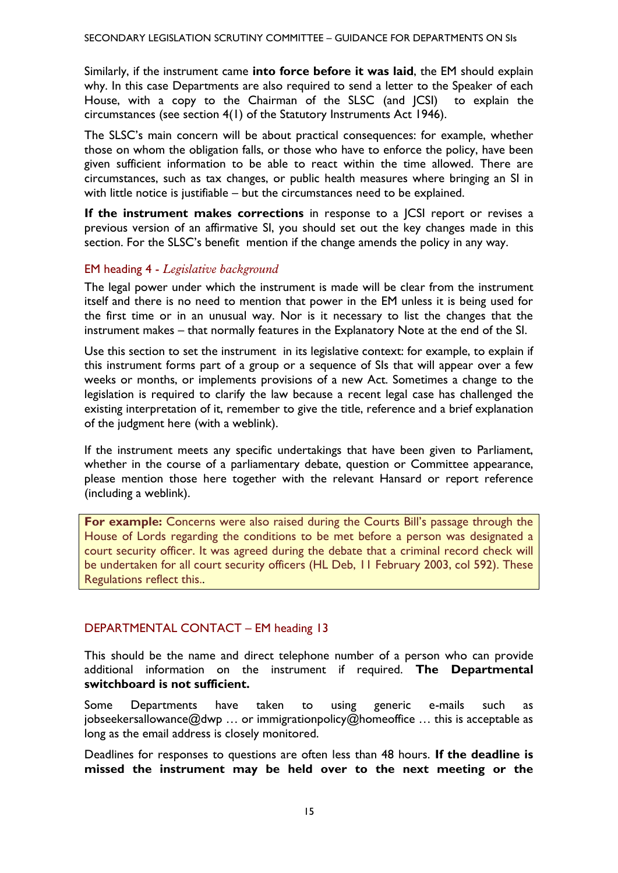Similarly, if the instrument came **into force before it was laid**, the EM should explain why. In this case Departments are also required to send a letter to the Speaker of each House, with a copy to the Chairman of the SLSC (and JCSI) to explain the circumstances (see section 4(1) of the Statutory Instruments Act 1946).

The SLSC's main concern will be about practical consequences: for example, whether those on whom the obligation falls, or those who have to enforce the policy, have been given sufficient information to be able to react within the time allowed. There are circumstances, such as tax changes, or public health measures where bringing an SI in with little notice is justifiable – but the circumstances need to be explained.

**If the instrument makes corrections** in response to a JCSI report or revises a previous version of an affirmative SI, you should set out the key changes made in this section. For the SLSC's benefit mention if the change amends the policy in any way.

# EM heading 4 - *Legislative background*

The legal power under which the instrument is made will be clear from the instrument itself and there is no need to mention that power in the EM unless it is being used for the first time or in an unusual way. Nor is it necessary to list the changes that the instrument makes – that normally features in the Explanatory Note at the end of the SI.

Use this section to set the instrument in its legislative context: for example, to explain if this instrument forms part of a group or a sequence of SIs that will appear over a few weeks or months, or implements provisions of a new Act. Sometimes a change to the legislation is required to clarify the law because a recent legal case has challenged the existing interpretation of it, remember to give the title, reference and a brief explanation of the judgment here (with a weblink).

If the instrument meets any specific undertakings that have been given to Parliament, whether in the course of a parliamentary debate, question or Committee appearance, please mention those here together with the relevant Hansard or report reference (including a weblink).

<span id="page-14-0"></span>**For example:** Concerns were also raised during the Courts Bill's passage through the House of Lords regarding the conditions to be met before a person was designated a court security officer. It was agreed during the debate that a criminal record check will be undertaken for all court security officers (HL Deb, 11 February 2003, col 592). These Regulations reflect this..

# DEPARTMENTAL CONTACT – EM heading 13

This should be the name and direct telephone number of a person who can provide additional information on the instrument if required. **The Departmental switchboard is not sufficient.** 

Some Departments have taken to using generic e-mails such as jobseekersallowance@dwp … or immigrationpolicy@homeoffice … this is acceptable as long as the email address is closely monitored.

Deadlines for responses to questions are often less than 48 hours. **If the deadline is missed the instrument may be held over to the next meeting or the**